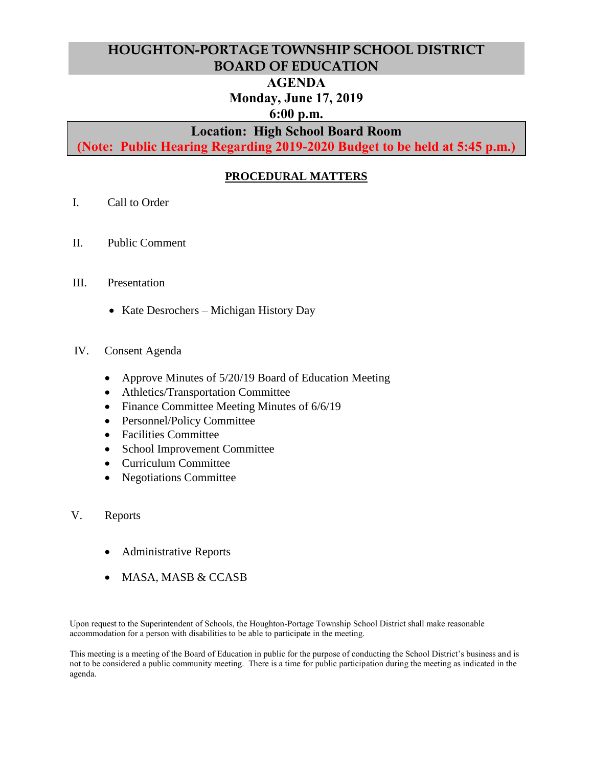# **HOUGHTON-PORTAGE TOWNSHIP SCHOOL DISTRICT BOARD OF EDUCATION**

# **AGENDA**

# **Monday, June 17, 2019**

# **6:00 p.m.**

# **Location: High School Board Room**

**(Note: Public Hearing Regarding 2019-2020 Budget to be held at 5:45 p.m.)**

# **PROCEDURAL MATTERS**

- I. Call to Order
- II. Public Comment
- III. Presentation
	- Kate Desrochers Michigan History Day
- IV. Consent Agenda
	- Approve Minutes of 5/20/19 Board of Education Meeting
	- Athletics/Transportation Committee
	- Finance Committee Meeting Minutes of 6/6/19
	- Personnel/Policy Committee
	- Facilities Committee
	- School Improvement Committee
	- Curriculum Committee
	- Negotiations Committee
- V. Reports
	- Administrative Reports
	- MASA, MASB & CCASB

Upon request to the Superintendent of Schools, the Houghton-Portage Township School District shall make reasonable accommodation for a person with disabilities to be able to participate in the meeting.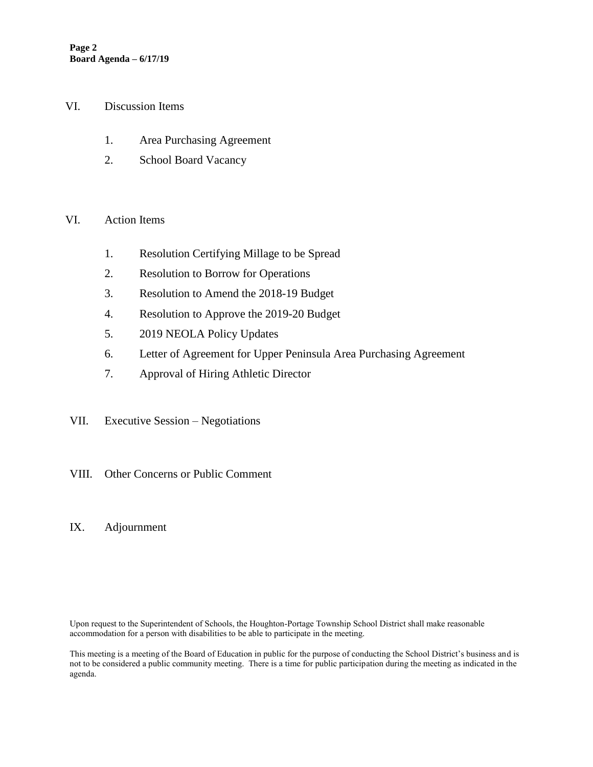#### VI. Discussion Items

- 1. Area Purchasing Agreement
- 2. School Board Vacancy

### VI. Action Items

- 1. Resolution Certifying Millage to be Spread
- 2. Resolution to Borrow for Operations
- 3. Resolution to Amend the 2018-19 Budget
- 4. Resolution to Approve the 2019-20 Budget
- 5. 2019 NEOLA Policy Updates
- 6. Letter of Agreement for Upper Peninsula Area Purchasing Agreement
- 7. Approval of Hiring Athletic Director
- VII. Executive Session Negotiations
- VIII. Other Concerns or Public Comment
- IX. Adjournment

Upon request to the Superintendent of Schools, the Houghton-Portage Township School District shall make reasonable accommodation for a person with disabilities to be able to participate in the meeting.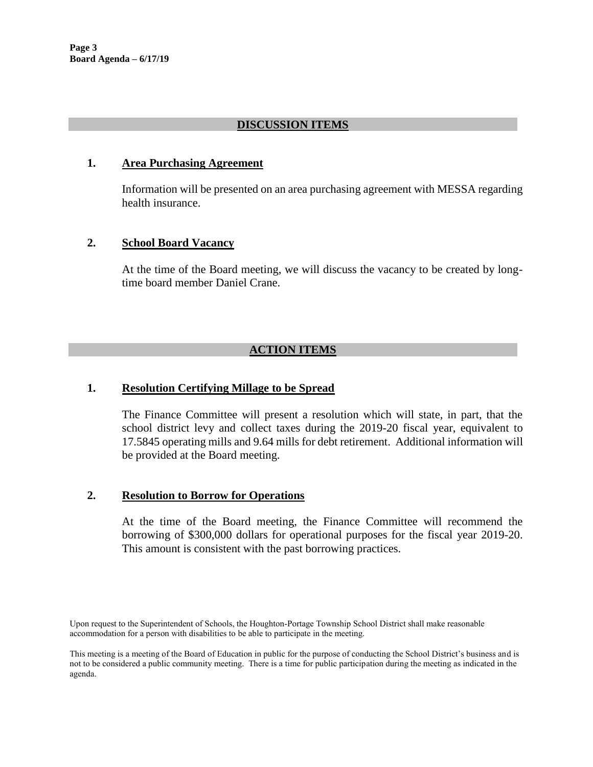# **DISCUSSION ITEMS**

### **1. Area Purchasing Agreement**

Information will be presented on an area purchasing agreement with MESSA regarding health insurance.

## **2. School Board Vacancy**

At the time of the Board meeting, we will discuss the vacancy to be created by longtime board member Daniel Crane.

# **ACTION ITEMS**

# **1. Resolution Certifying Millage to be Spread**

The Finance Committee will present a resolution which will state, in part, that the school district levy and collect taxes during the 2019-20 fiscal year, equivalent to 17.5845 operating mills and 9.64 mills for debt retirement. Additional information will be provided at the Board meeting.

### **2. Resolution to Borrow for Operations**

At the time of the Board meeting, the Finance Committee will recommend the borrowing of \$300,000 dollars for operational purposes for the fiscal year 2019-20. This amount is consistent with the past borrowing practices.

Upon request to the Superintendent of Schools, the Houghton-Portage Township School District shall make reasonable accommodation for a person with disabilities to be able to participate in the meeting.